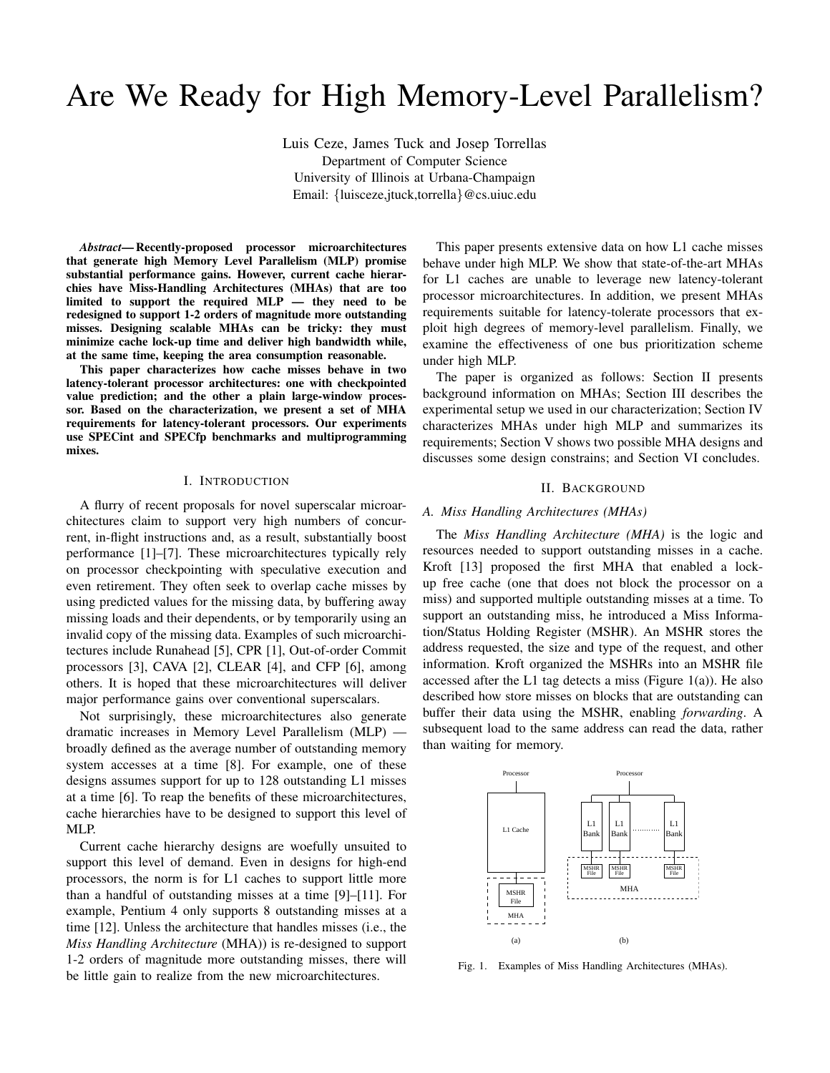# Are We Ready for High Memory-Level Parallelism?

Luis Ceze, James Tuck and Josep Torrellas Department of Computer Science University of Illinois at Urbana-Champaign Email: {luisceze,jtuck,torrella}@cs.uiuc.edu

*Abstract*— Recently-proposed processor microarchitectures that generate high Memory Level Parallelism (MLP) promise substantial performance gains. However, current cache hierarchies have Miss-Handling Architectures (MHAs) that are too limited to support the required MLP — they need to be redesigned to support 1-2 orders of magnitude more outstanding misses. Designing scalable MHAs can be tricky: they must minimize cache lock-up time and deliver high bandwidth while, at the same time, keeping the area consumption reasonable.

This paper characterizes how cache misses behave in two latency-tolerant processor architectures: one with checkpointed value prediction; and the other a plain large-window processor. Based on the characterization, we present a set of MHA requirements for latency-tolerant processors. Our experiments use SPECint and SPECfp benchmarks and multiprogramming mixes.

# I. INTRODUCTION

A flurry of recent proposals for novel superscalar microarchitectures claim to support very high numbers of concurrent, in-flight instructions and, as a result, substantially boost performance [1]–[7]. These microarchitectures typically rely on processor checkpointing with speculative execution and even retirement. They often seek to overlap cache misses by using predicted values for the missing data, by buffering away missing loads and their dependents, or by temporarily using an invalid copy of the missing data. Examples of such microarchitectures include Runahead [5], CPR [1], Out-of-order Commit processors [3], CAVA [2], CLEAR [4], and CFP [6], among others. It is hoped that these microarchitectures will deliver major performance gains over conventional superscalars.

Not surprisingly, these microarchitectures also generate dramatic increases in Memory Level Parallelism (MLP) broadly defined as the average number of outstanding memory system accesses at a time [8]. For example, one of these designs assumes support for up to 128 outstanding L1 misses at a time [6]. To reap the benefits of these microarchitectures, cache hierarchies have to be designed to support this level of MLP.

Current cache hierarchy designs are woefully unsuited to support this level of demand. Even in designs for high-end processors, the norm is for L1 caches to support little more than a handful of outstanding misses at a time [9]–[11]. For example, Pentium 4 only supports 8 outstanding misses at a time [12]. Unless the architecture that handles misses (i.e., the *Miss Handling Architecture* (MHA)) is re-designed to support 1-2 orders of magnitude more outstanding misses, there will be little gain to realize from the new microarchitectures.

This paper presents extensive data on how L1 cache misses behave under high MLP. We show that state-of-the-art MHAs for L1 caches are unable to leverage new latency-tolerant processor microarchitectures. In addition, we present MHAs requirements suitable for latency-tolerate processors that exploit high degrees of memory-level parallelism. Finally, we examine the effectiveness of one bus prioritization scheme under high MLP.

The paper is organized as follows: Section II presents background information on MHAs; Section III describes the experimental setup we used in our characterization; Section IV characterizes MHAs under high MLP and summarizes its requirements; Section V shows two possible MHA designs and discusses some design constrains; and Section VI concludes.

#### II. BACKGROUND

#### *A. Miss Handling Architectures (MHAs)*

The *Miss Handling Architecture (MHA)* is the logic and resources needed to support outstanding misses in a cache. Kroft [13] proposed the first MHA that enabled a lockup free cache (one that does not block the processor on a miss) and supported multiple outstanding misses at a time. To support an outstanding miss, he introduced a Miss Information/Status Holding Register (MSHR). An MSHR stores the address requested, the size and type of the request, and other information. Kroft organized the MSHRs into an MSHR file accessed after the L1 tag detects a miss (Figure 1(a)). He also described how store misses on blocks that are outstanding can buffer their data using the MSHR, enabling *forwarding*. A subsequent load to the same address can read the data, rather than waiting for memory.



Fig. 1. Examples of Miss Handling Architectures (MHAs).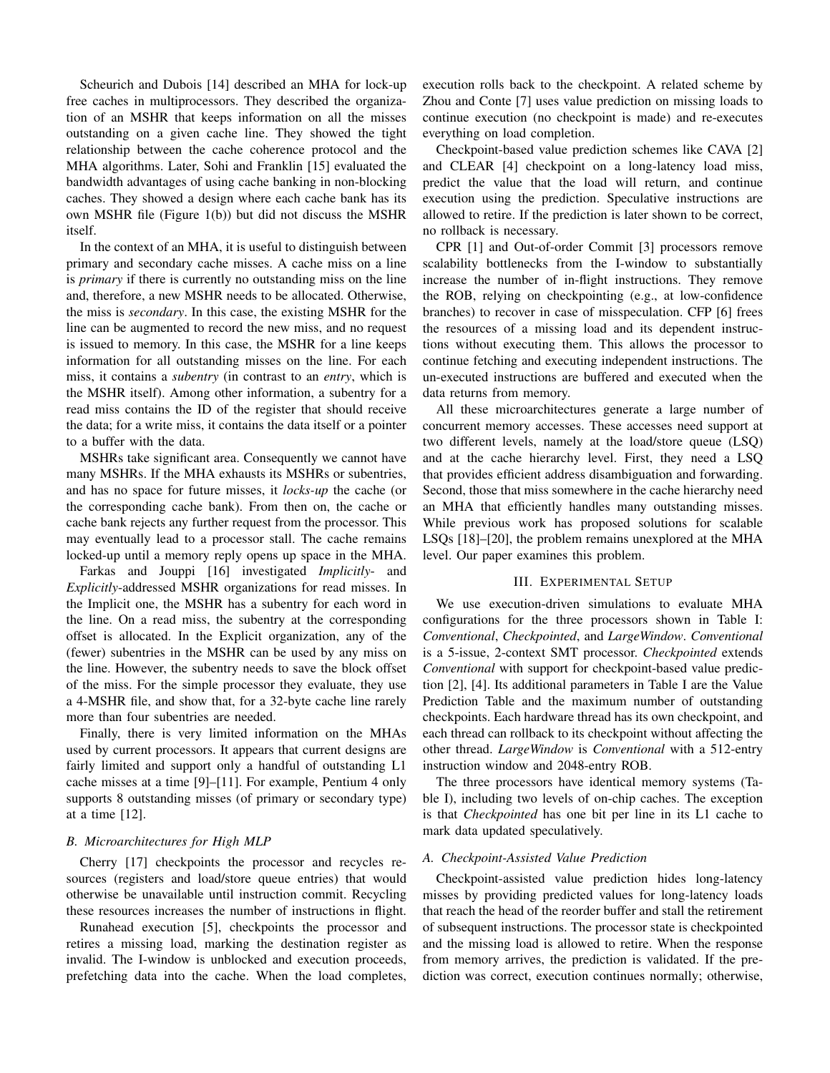Scheurich and Dubois [14] described an MHA for lock-up free caches in multiprocessors. They described the organization of an MSHR that keeps information on all the misses outstanding on a given cache line. They showed the tight relationship between the cache coherence protocol and the MHA algorithms. Later, Sohi and Franklin [15] evaluated the bandwidth advantages of using cache banking in non-blocking caches. They showed a design where each cache bank has its own MSHR file (Figure 1(b)) but did not discuss the MSHR itself.

In the context of an MHA, it is useful to distinguish between primary and secondary cache misses. A cache miss on a line is *primary* if there is currently no outstanding miss on the line and, therefore, a new MSHR needs to be allocated. Otherwise, the miss is *secondary*. In this case, the existing MSHR for the line can be augmented to record the new miss, and no request is issued to memory. In this case, the MSHR for a line keeps information for all outstanding misses on the line. For each miss, it contains a *subentry* (in contrast to an *entry*, which is the MSHR itself). Among other information, a subentry for a read miss contains the ID of the register that should receive the data; for a write miss, it contains the data itself or a pointer to a buffer with the data.

MSHRs take significant area. Consequently we cannot have many MSHRs. If the MHA exhausts its MSHRs or subentries, and has no space for future misses, it *locks-up* the cache (or the corresponding cache bank). From then on, the cache or cache bank rejects any further request from the processor. This may eventually lead to a processor stall. The cache remains locked-up until a memory reply opens up space in the MHA.

Farkas and Jouppi [16] investigated *Implicitly*- and *Explicitly*-addressed MSHR organizations for read misses. In the Implicit one, the MSHR has a subentry for each word in the line. On a read miss, the subentry at the corresponding offset is allocated. In the Explicit organization, any of the (fewer) subentries in the MSHR can be used by any miss on the line. However, the subentry needs to save the block offset of the miss. For the simple processor they evaluate, they use a 4-MSHR file, and show that, for a 32-byte cache line rarely more than four subentries are needed.

Finally, there is very limited information on the MHAs used by current processors. It appears that current designs are fairly limited and support only a handful of outstanding L1 cache misses at a time [9]–[11]. For example, Pentium 4 only supports 8 outstanding misses (of primary or secondary type) at a time [12].

# *B. Microarchitectures for High MLP*

Cherry [17] checkpoints the processor and recycles resources (registers and load/store queue entries) that would otherwise be unavailable until instruction commit. Recycling these resources increases the number of instructions in flight.

Runahead execution [5], checkpoints the processor and retires a missing load, marking the destination register as invalid. The I-window is unblocked and execution proceeds, prefetching data into the cache. When the load completes, execution rolls back to the checkpoint. A related scheme by Zhou and Conte [7] uses value prediction on missing loads to continue execution (no checkpoint is made) and re-executes everything on load completion.

Checkpoint-based value prediction schemes like CAVA [2] and CLEAR [4] checkpoint on a long-latency load miss, predict the value that the load will return, and continue execution using the prediction. Speculative instructions are allowed to retire. If the prediction is later shown to be correct, no rollback is necessary.

CPR [1] and Out-of-order Commit [3] processors remove scalability bottlenecks from the I-window to substantially increase the number of in-flight instructions. They remove the ROB, relying on checkpointing (e.g., at low-confidence branches) to recover in case of misspeculation. CFP [6] frees the resources of a missing load and its dependent instructions without executing them. This allows the processor to continue fetching and executing independent instructions. The un-executed instructions are buffered and executed when the data returns from memory.

All these microarchitectures generate a large number of concurrent memory accesses. These accesses need support at two different levels, namely at the load/store queue (LSQ) and at the cache hierarchy level. First, they need a LSQ that provides efficient address disambiguation and forwarding. Second, those that miss somewhere in the cache hierarchy need an MHA that efficiently handles many outstanding misses. While previous work has proposed solutions for scalable LSQs [18]–[20], the problem remains unexplored at the MHA level. Our paper examines this problem.

# III. EXPERIMENTAL SETUP

We use execution-driven simulations to evaluate MHA configurations for the three processors shown in Table I: *Conventional*, *Checkpointed*, and *LargeWindow*. *Conventional* is a 5-issue, 2-context SMT processor. *Checkpointed* extends *Conventional* with support for checkpoint-based value prediction [2], [4]. Its additional parameters in Table I are the Value Prediction Table and the maximum number of outstanding checkpoints. Each hardware thread has its own checkpoint, and each thread can rollback to its checkpoint without affecting the other thread. *LargeWindow* is *Conventional* with a 512-entry instruction window and 2048-entry ROB.

The three processors have identical memory systems (Table I), including two levels of on-chip caches. The exception is that *Checkpointed* has one bit per line in its L1 cache to mark data updated speculatively.

#### *A. Checkpoint-Assisted Value Prediction*

Checkpoint-assisted value prediction hides long-latency misses by providing predicted values for long-latency loads that reach the head of the reorder buffer and stall the retirement of subsequent instructions. The processor state is checkpointed and the missing load is allowed to retire. When the response from memory arrives, the prediction is validated. If the prediction was correct, execution continues normally; otherwise,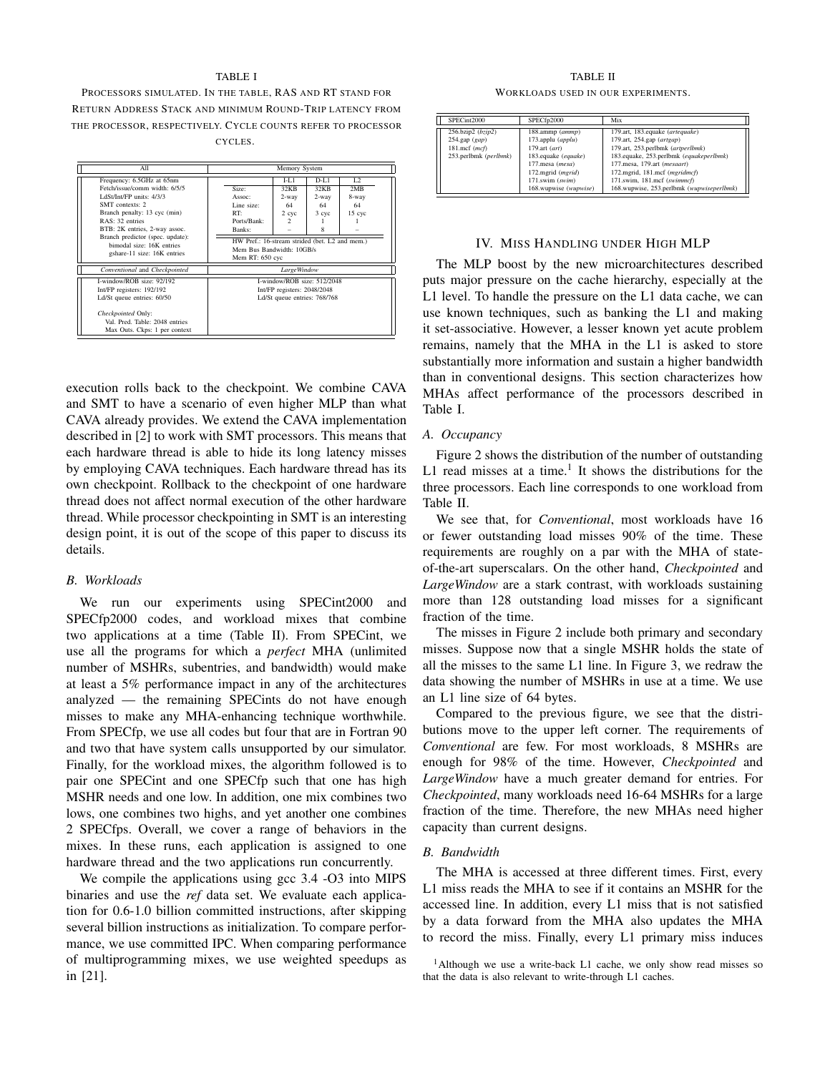#### TABLE I

PROCESSORS SIMULATED. IN THE TABLE, RAS AND RT STAND FOR RETURN ADDRESS STACK AND MINIMUM ROUND-TRIP LATENCY FROM THE PROCESSOR, RESPECTIVELY. CYCLE COUNTS REFER TO PROCESSOR CYCLES.



execution rolls back to the checkpoint. We combine CAVA and SMT to have a scenario of even higher MLP than what CAVA already provides. We extend the CAVA implementation described in [2] to work with SMT processors. This means that each hardware thread is able to hide its long latency misses by employing CAVA techniques. Each hardware thread has its own checkpoint. Rollback to the checkpoint of one hardware thread does not affect normal execution of the other hardware thread. While processor checkpointing in SMT is an interesting design point, it is out of the scope of this paper to discuss its details.

#### *B. Workloads*

We run our experiments using SPECint2000 and SPECfp2000 codes, and workload mixes that combine two applications at a time (Table II). From SPECint, we use all the programs for which a *perfect* MHA (unlimited number of MSHRs, subentries, and bandwidth) would make at least a 5% performance impact in any of the architectures analyzed — the remaining SPECints do not have enough misses to make any MHA-enhancing technique worthwhile. From SPECfp, we use all codes but four that are in Fortran 90 and two that have system calls unsupported by our simulator. Finally, for the workload mixes, the algorithm followed is to pair one SPECint and one SPECfp such that one has high MSHR needs and one low. In addition, one mix combines two lows, one combines two highs, and yet another one combines 2 SPECfps. Overall, we cover a range of behaviors in the mixes. In these runs, each application is assigned to one hardware thread and the two applications run concurrently.

We compile the applications using gcc 3.4 -O3 into MIPS binaries and use the *ref* data set. We evaluate each application for 0.6-1.0 billion committed instructions, after skipping several billion instructions as initialization. To compare performance, we use committed IPC. When comparing performance of multiprogramming mixes, we use weighted speedups as in [21].

#### TABLE II

WORKLOADS USED IN OUR EXPERIMENTS.

| SPECint2000                                                                              | SPECfp2000                                                                                                                                                                           | Mix                                                                                                                                                                                                                                                                                      |
|------------------------------------------------------------------------------------------|--------------------------------------------------------------------------------------------------------------------------------------------------------------------------------------|------------------------------------------------------------------------------------------------------------------------------------------------------------------------------------------------------------------------------------------------------------------------------------------|
| 256.bzip2 (bzip2)<br>$254$ .gap $(gap)$<br>$181$ .mcf ( $mcf$ )<br>253.perlbmk (perlbmk) | 188.ammp (ammp)<br>173.applu (applu)<br>$179 \text{.art}$ $(\text{art})$<br>183.equake (equake)<br>177, mesa (mesa)<br>172.mgrid (mgrid)<br>171.swim (swim)<br>168.wupwise (wupwise) | 179.art, 183.equake (artequake)<br>179.art, 254.gap (artgap)<br>179.art, 253.perlbmk (artperlbmk)<br>183.equake, 253.perlbmk (equakeperlbmk)<br>177.mesa, 179.art (mesaart)<br>172.mgrid, 181.mcf (mgridmcf)<br>171.swim, 181.mcf (swimmcf)<br>168.wupwise, 253.perlbmk (wupwiseperlbmk) |

#### IV. MISS HANDLING UNDER HIGH MLP

The MLP boost by the new microarchitectures described puts major pressure on the cache hierarchy, especially at the L1 level. To handle the pressure on the L1 data cache, we can use known techniques, such as banking the L1 and making it set-associative. However, a lesser known yet acute problem remains, namely that the MHA in the L1 is asked to store substantially more information and sustain a higher bandwidth than in conventional designs. This section characterizes how MHAs affect performance of the processors described in Table I.

# *A. Occupancy*

Figure 2 shows the distribution of the number of outstanding L1 read misses at a time.<sup>1</sup> It shows the distributions for the three processors. Each line corresponds to one workload from Table II.

We see that, for *Conventional*, most workloads have 16 or fewer outstanding load misses 90% of the time. These requirements are roughly on a par with the MHA of stateof-the-art superscalars. On the other hand, *Checkpointed* and *LargeWindow* are a stark contrast, with workloads sustaining more than 128 outstanding load misses for a significant fraction of the time.

The misses in Figure 2 include both primary and secondary misses. Suppose now that a single MSHR holds the state of all the misses to the same L1 line. In Figure 3, we redraw the data showing the number of MSHRs in use at a time. We use an L1 line size of 64 bytes.

Compared to the previous figure, we see that the distributions move to the upper left corner. The requirements of *Conventional* are few. For most workloads, 8 MSHRs are enough for 98% of the time. However, *Checkpointed* and *LargeWindow* have a much greater demand for entries. For *Checkpointed*, many workloads need 16-64 MSHRs for a large fraction of the time. Therefore, the new MHAs need higher capacity than current designs.

## *B. Bandwidth*

The MHA is accessed at three different times. First, every L1 miss reads the MHA to see if it contains an MSHR for the accessed line. In addition, every L1 miss that is not satisfied by a data forward from the MHA also updates the MHA to record the miss. Finally, every L1 primary miss induces

<sup>&</sup>lt;sup>1</sup>Although we use a write-back L1 cache, we only show read misses so that the data is also relevant to write-through L1 caches.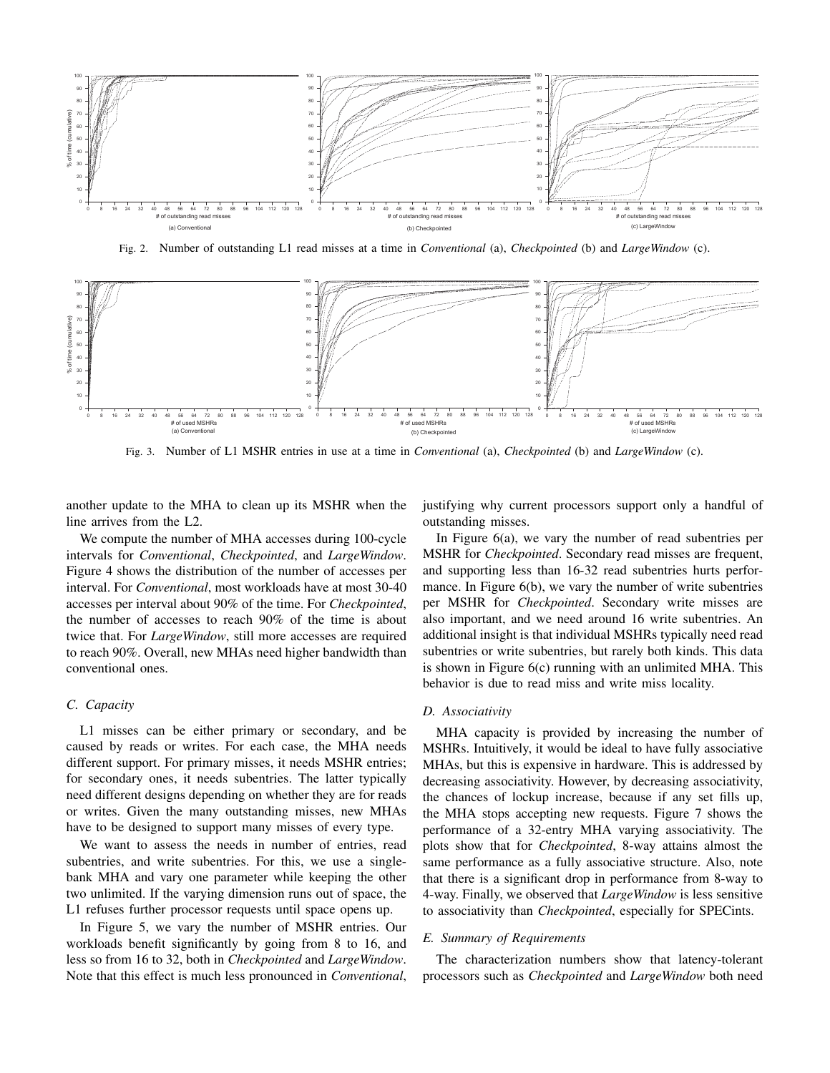

Fig. 2. Number of outstanding L1 read misses at a time in *Conventional* (a), *Checkpointed* (b) and *LargeWindow* (c).



Fig. 3. Number of L1 MSHR entries in use at a time in *Conventional* (a), *Checkpointed* (b) and *LargeWindow* (c).

another update to the MHA to clean up its MSHR when the line arrives from the L2.

We compute the number of MHA accesses during 100-cycle intervals for *Conventional*, *Checkpointed*, and *LargeWindow*. Figure 4 shows the distribution of the number of accesses per interval. For *Conventional*, most workloads have at most 30-40 accesses per interval about 90% of the time. For *Checkpointed*, the number of accesses to reach 90% of the time is about twice that. For *LargeWindow*, still more accesses are required to reach 90%. Overall, new MHAs need higher bandwidth than conventional ones.

#### *C. Capacity*

L1 misses can be either primary or secondary, and be caused by reads or writes. For each case, the MHA needs different support. For primary misses, it needs MSHR entries; for secondary ones, it needs subentries. The latter typically need different designs depending on whether they are for reads or writes. Given the many outstanding misses, new MHAs have to be designed to support many misses of every type.

We want to assess the needs in number of entries, read subentries, and write subentries. For this, we use a singlebank MHA and vary one parameter while keeping the other two unlimited. If the varying dimension runs out of space, the L1 refuses further processor requests until space opens up.

In Figure 5, we vary the number of MSHR entries. Our workloads benefit significantly by going from 8 to 16, and less so from 16 to 32, both in *Checkpointed* and *LargeWindow*. Note that this effect is much less pronounced in *Conventional*, justifying why current processors support only a handful of outstanding misses.

In Figure 6(a), we vary the number of read subentries per MSHR for *Checkpointed*. Secondary read misses are frequent, and supporting less than 16-32 read subentries hurts performance. In Figure 6(b), we vary the number of write subentries per MSHR for *Checkpointed*. Secondary write misses are also important, and we need around 16 write subentries. An additional insight is that individual MSHRs typically need read subentries or write subentries, but rarely both kinds. This data is shown in Figure 6(c) running with an unlimited MHA. This behavior is due to read miss and write miss locality.

#### *D. Associativity*

MHA capacity is provided by increasing the number of MSHRs. Intuitively, it would be ideal to have fully associative MHAs, but this is expensive in hardware. This is addressed by decreasing associativity. However, by decreasing associativity, the chances of lockup increase, because if any set fills up, the MHA stops accepting new requests. Figure 7 shows the performance of a 32-entry MHA varying associativity. The plots show that for *Checkpointed*, 8-way attains almost the same performance as a fully associative structure. Also, note that there is a significant drop in performance from 8-way to 4-way. Finally, we observed that *LargeWindow* is less sensitive to associativity than *Checkpointed*, especially for SPECints.

## *E. Summary of Requirements*

The characterization numbers show that latency-tolerant processors such as *Checkpointed* and *LargeWindow* both need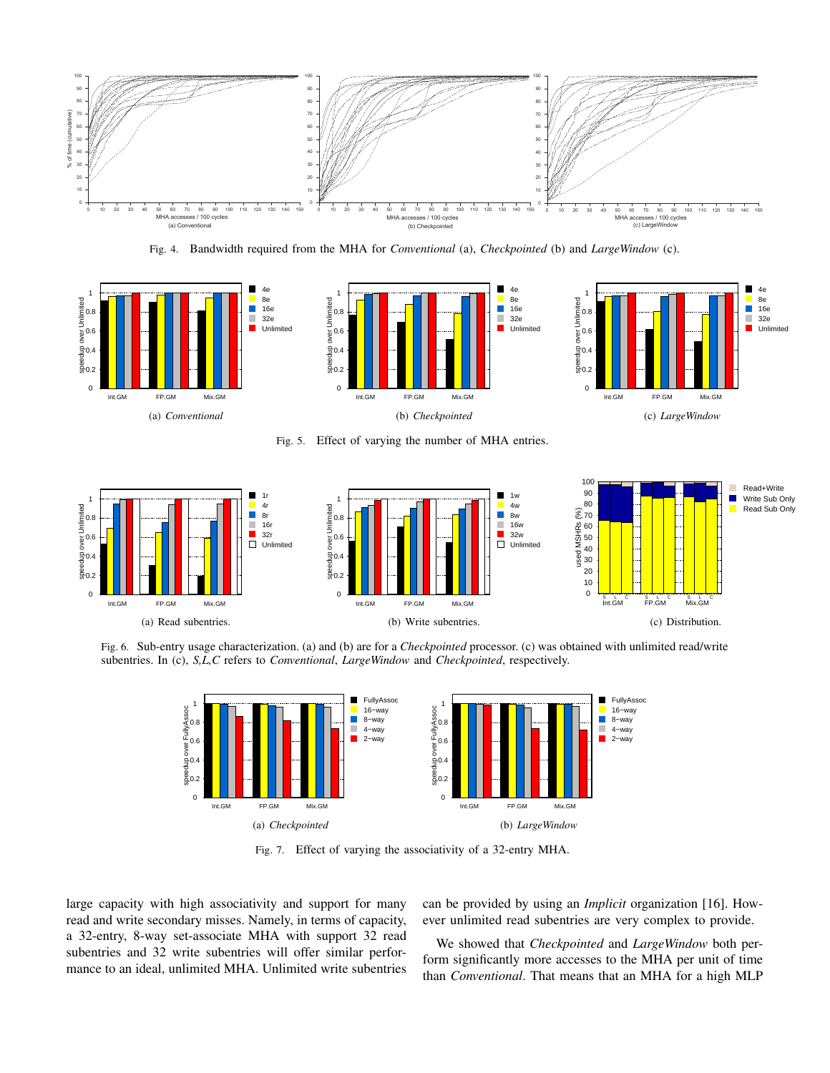

Fig. 4. Bandwidth required from the MHA for *Conventional* (a), *Checkpointed* (b) and *LargeWindow* (c).



Fig. 5. Effect of varying the number of MHA entries.



Fig. 6. Sub-entry usage characterization. (a) and (b) are for a *Checkpointed* processor. (c) was obtained with unlimited read/write subentries. In (c), *S,L,C* refers to *Conventional*, *LargeWindow* and *Checkpointed*, respectively.



Fig. 7. Effect of varying the associativity of a 32-entry MHA.

large capacity with high associativity and support for many read and write secondary misses. Namely, in terms of capacity, a 32-entry, 8-way set-associate MHA with support 32 read subentries and 32 write subentries will offer similar performance to an ideal, unlimited MHA. Unlimited write subentries can be provided by using an *Implicit* organization [16]. However unlimited read subentries are very complex to provide.

We showed that *Checkpointed* and *LargeWindow* both perform significantly more accesses to the MHA per unit of time than *Conventional*. That means that an MHA for a high MLP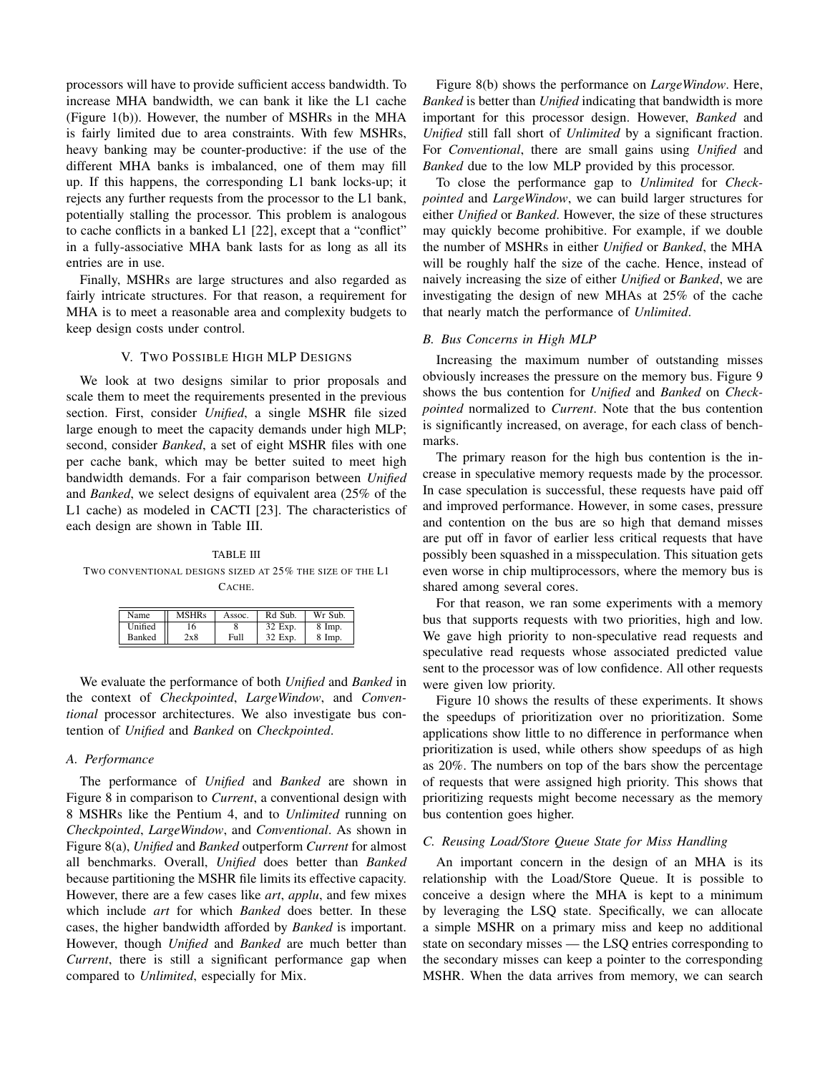processors will have to provide sufficient access bandwidth. To increase MHA bandwidth, we can bank it like the L1 cache (Figure 1(b)). However, the number of MSHRs in the MHA is fairly limited due to area constraints. With few MSHRs, heavy banking may be counter-productive: if the use of the different MHA banks is imbalanced, one of them may fill up. If this happens, the corresponding L1 bank locks-up; it rejects any further requests from the processor to the L1 bank, potentially stalling the processor. This problem is analogous to cache conflicts in a banked L1 [22], except that a "conflict" in a fully-associative MHA bank lasts for as long as all its entries are in use.

Finally, MSHRs are large structures and also regarded as fairly intricate structures. For that reason, a requirement for MHA is to meet a reasonable area and complexity budgets to keep design costs under control.

#### V. TWO POSSIBLE HIGH MLP DESIGNS

We look at two designs similar to prior proposals and scale them to meet the requirements presented in the previous section. First, consider *Unified*, a single MSHR file sized large enough to meet the capacity demands under high MLP; second, consider *Banked*, a set of eight MSHR files with one per cache bank, which may be better suited to meet high bandwidth demands. For a fair comparison between *Unified* and *Banked*, we select designs of equivalent area (25% of the L1 cache) as modeled in CACTI [23]. The characteristics of each design are shown in Table III.

TABLE III TWO CONVENTIONAL DESIGNS SIZED AT 25% THE SIZE OF THE L1 CACHE.

| Name          | <b>MSHRs</b> | Assoc. | Rd Sub. | Wr Sub.            |
|---------------|--------------|--------|---------|--------------------|
| Unified       | l6           |        | 32 Exp. | $8 \; \text{Imp.}$ |
| <b>Banked</b> | 2x8          | Full   | 32 Exp. | $8 \; \text{Imp.}$ |

We evaluate the performance of both *Unified* and *Banked* in the context of *Checkpointed*, *LargeWindow*, and *Conventional* processor architectures. We also investigate bus contention of *Unified* and *Banked* on *Checkpointed*.

# *A. Performance*

The performance of *Unified* and *Banked* are shown in Figure 8 in comparison to *Current*, a conventional design with 8 MSHRs like the Pentium 4, and to *Unlimited* running on *Checkpointed*, *LargeWindow*, and *Conventional*. As shown in Figure 8(a), *Unified* and *Banked* outperform *Current* for almost all benchmarks. Overall, *Unified* does better than *Banked* because partitioning the MSHR file limits its effective capacity. However, there are a few cases like *art*, *applu*, and few mixes which include *art* for which *Banked* does better. In these cases, the higher bandwidth afforded by *Banked* is important. However, though *Unified* and *Banked* are much better than *Current*, there is still a significant performance gap when compared to *Unlimited*, especially for Mix.

Figure 8(b) shows the performance on *LargeWindow*. Here, *Banked* is better than *Unified* indicating that bandwidth is more important for this processor design. However, *Banked* and *Unified* still fall short of *Unlimited* by a significant fraction. For *Conventional*, there are small gains using *Unified* and *Banked* due to the low MLP provided by this processor.

To close the performance gap to *Unlimited* for *Checkpointed* and *LargeWindow*, we can build larger structures for either *Unified* or *Banked*. However, the size of these structures may quickly become prohibitive. For example, if we double the number of MSHRs in either *Unified* or *Banked*, the MHA will be roughly half the size of the cache. Hence, instead of naively increasing the size of either *Unified* or *Banked*, we are investigating the design of new MHAs at 25% of the cache that nearly match the performance of *Unlimited*.

#### *B. Bus Concerns in High MLP*

Increasing the maximum number of outstanding misses obviously increases the pressure on the memory bus. Figure 9 shows the bus contention for *Unified* and *Banked* on *Checkpointed* normalized to *Current*. Note that the bus contention is significantly increased, on average, for each class of benchmarks.

The primary reason for the high bus contention is the increase in speculative memory requests made by the processor. In case speculation is successful, these requests have paid off and improved performance. However, in some cases, pressure and contention on the bus are so high that demand misses are put off in favor of earlier less critical requests that have possibly been squashed in a misspeculation. This situation gets even worse in chip multiprocessors, where the memory bus is shared among several cores.

For that reason, we ran some experiments with a memory bus that supports requests with two priorities, high and low. We gave high priority to non-speculative read requests and speculative read requests whose associated predicted value sent to the processor was of low confidence. All other requests were given low priority.

Figure 10 shows the results of these experiments. It shows the speedups of prioritization over no prioritization. Some applications show little to no difference in performance when prioritization is used, while others show speedups of as high as 20%. The numbers on top of the bars show the percentage of requests that were assigned high priority. This shows that prioritizing requests might become necessary as the memory bus contention goes higher.

# *C. Reusing Load/Store Queue State for Miss Handling*

An important concern in the design of an MHA is its relationship with the Load/Store Queue. It is possible to conceive a design where the MHA is kept to a minimum by leveraging the LSQ state. Specifically, we can allocate a simple MSHR on a primary miss and keep no additional state on secondary misses — the LSQ entries corresponding to the secondary misses can keep a pointer to the corresponding MSHR. When the data arrives from memory, we can search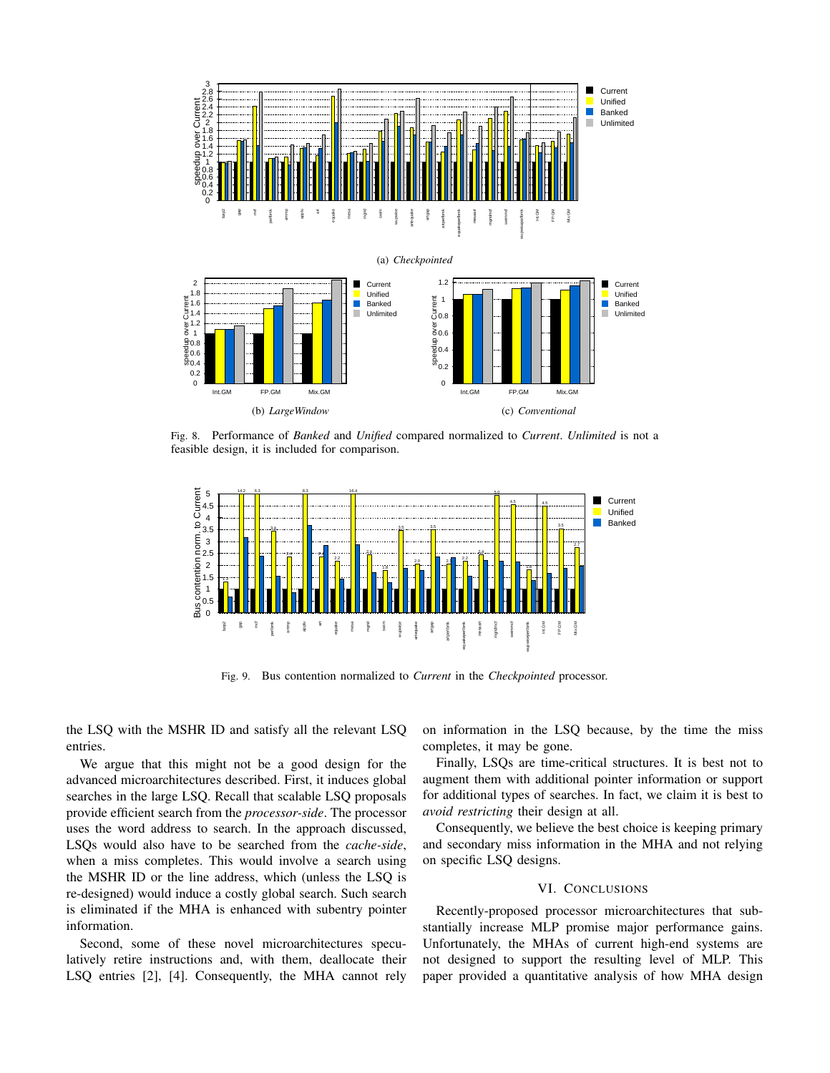

Fig. 8. Performance of *Banked* and *Unified* compared normalized to *Current*. *Unlimited* is not a feasible design, it is included for comparison.



Fig. 9. Bus contention normalized to *Current* in the *Checkpointed* processor.

the LSQ with the MSHR ID and satisfy all the relevant LSQ entries.

We argue that this might not be a good design for the advanced microarchitectures described. First, it induces global searches in the large LSQ. Recall that scalable LSQ proposals provide efficient search from the *processor-side*. The processor uses the word address to search. In the approach discussed, LSQs would also have to be searched from the *cache-side*, when a miss completes. This would involve a search using the MSHR ID or the line address, which (unless the LSQ is re-designed) would induce a costly global search. Such search is eliminated if the MHA is enhanced with subentry pointer information.

Second, some of these novel microarchitectures speculatively retire instructions and, with them, deallocate their LSQ entries [2], [4]. Consequently, the MHA cannot rely on information in the LSQ because, by the time the miss completes, it may be gone.

Finally, LSQs are time-critical structures. It is best not to augment them with additional pointer information or support for additional types of searches. In fact, we claim it is best to *avoid restricting* their design at all.

Consequently, we believe the best choice is keeping primary and secondary miss information in the MHA and not relying on specific LSQ designs.

#### VI. CONCLUSIONS

Recently-proposed processor microarchitectures that substantially increase MLP promise major performance gains. Unfortunately, the MHAs of current high-end systems are not designed to support the resulting level of MLP. This paper provided a quantitative analysis of how MHA design